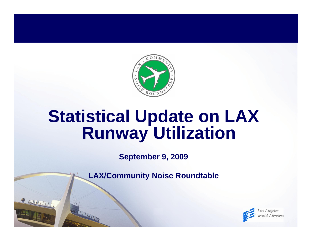

# **Statistical Update on LAX Runway Utilization**

**September 9, 2009**

**LAX/Community Noise Roundtable**

R INVENTIT

**THE TELEVISION** 

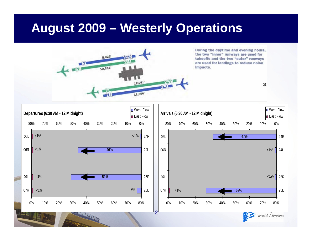### **August 2009 – Westerly Operations**





World Airports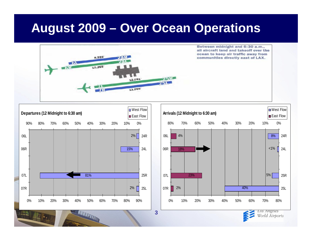### **August 2009 – Over Ocean Operations**







Los Angeles World Airports

**3**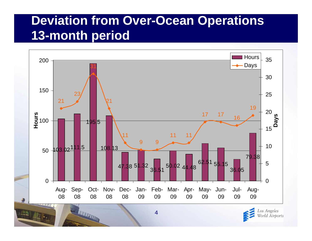### **Deviation from Over-Ocean Operations 13-month period**





**THE REAL PROPERTY AND**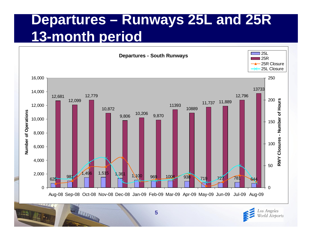## **Departures – Runways 25L and 25R 13-month period**





THE REAL PROPERTY AND INCOME.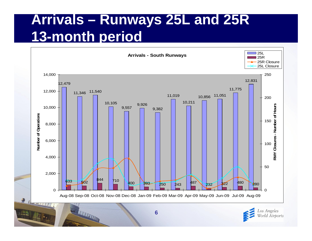# **Arrivals – Runways 25L and 25R 13-month period**





THE REAL PROPERTY AND INCOME.

 $\rightarrow$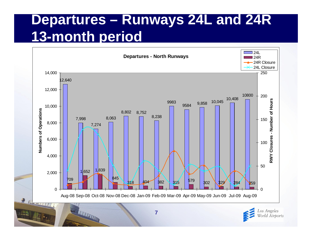# **Departures – Runways 24L and 24R 13-month period**



**7**

 $\rightarrow \mathbb{R}$ 

**TELEVISION** 

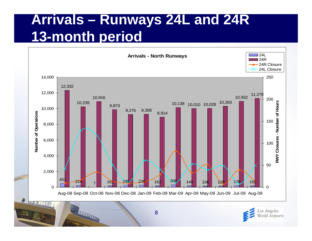# **Arrivals – Runways 24L and 24R 13-month period**





**8**

THE REAL PROPERTY AND INCOME.

**字**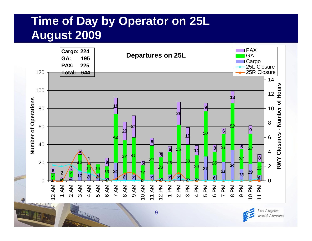#### **Time of Day by Operator on 25L August 2009**



**9**

**THE REAL PROPERTY AND** 

Los Angeles World Airports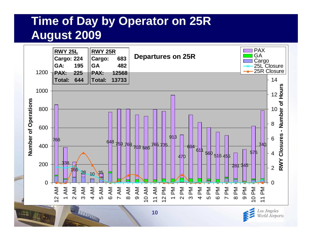#### **Time of Day by Operator on 25R August 2009**



**10**

Los Angeles World Airports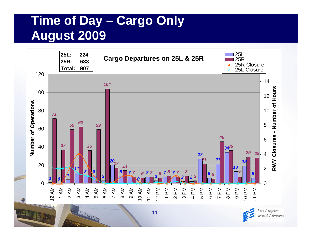### **Time of Day – Cargo Only August 2009**

THE REAL PROPERTY AND IN



**11**

Los Angeles World Airports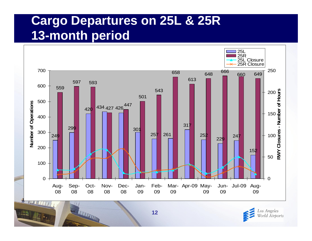### **Cargo Departures on 25L & 25R 13-month period**





**THE REAL PROPERTY AND**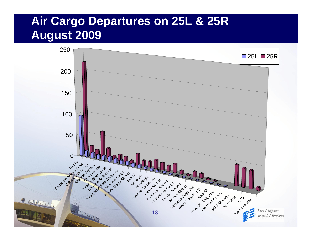#### **Air Cargo Departures on 25L & 25R August 2009**